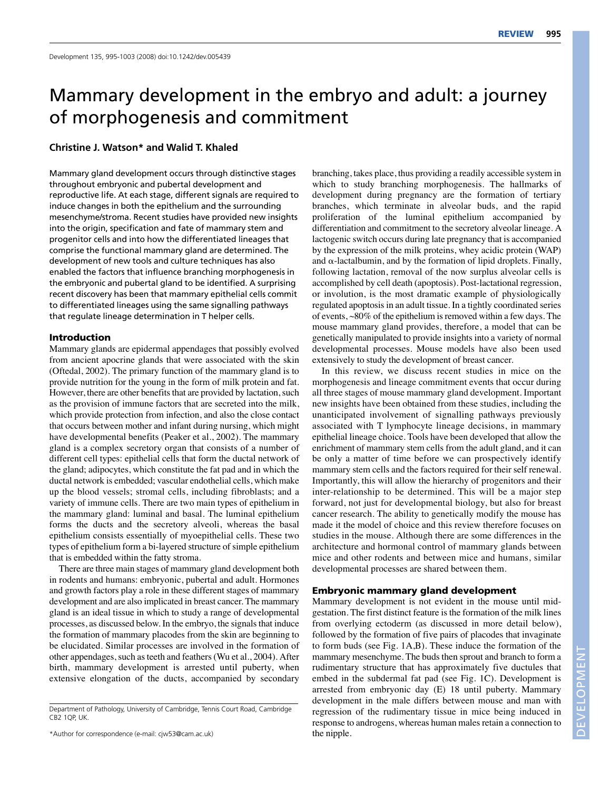# Mammary development in the embryo and adult: a journey of morphogenesis and commitment

## **Christine J. Watson\* and Walid T. Khaled**

Mammary gland development occurs through distinctive stages throughout embryonic and pubertal development and reproductive life. At each stage, different signals are required to induce changes in both the epithelium and the surrounding mesenchyme/stroma. Recent studies have provided new insights into the origin, specification and fate of mammary stem and progenitor cells and into how the differentiated lineages that comprise the functional mammary gland are determined. The development of new tools and culture techniques has also enabled the factors that influence branching morphogenesis in the embryonic and pubertal gland to be identified. A surprising recent discovery has been that mammary epithelial cells commit to differentiated lineages using the same signalling pathways that regulate lineage determination in T helper cells.

#### **Introduction**

Mammary glands are epidermal appendages that possibly evolved from ancient apocrine glands that were associated with the skin (Oftedal, 2002). The primary function of the mammary gland is to provide nutrition for the young in the form of milk protein and fat. However, there are other benefits that are provided by lactation, such as the provision of immune factors that are secreted into the milk, which provide protection from infection, and also the close contact that occurs between mother and infant during nursing, which might have developmental benefits (Peaker et al., 2002). The mammary gland is a complex secretory organ that consists of a number of different cell types: epithelial cells that form the ductal network of the gland; adipocytes, which constitute the fat pad and in which the ductal network is embedded; vascular endothelial cells, which make up the blood vessels; stromal cells, including fibroblasts; and a variety of immune cells. There are two main types of epithelium in the mammary gland: luminal and basal. The luminal epithelium forms the ducts and the secretory alveoli, whereas the basal epithelium consists essentially of myoepithelial cells. These two types of epithelium form a bi-layered structure of simple epithelium that is embedded within the fatty stroma.

There are three main stages of mammary gland development both in rodents and humans: embryonic, pubertal and adult. Hormones and growth factors play a role in these different stages of mammary development and are also implicated in breast cancer. The mammary gland is an ideal tissue in which to study a range of developmental processes, as discussed below. In the embryo, the signals that induce the formation of mammary placodes from the skin are beginning to be elucidated. Similar processes are involved in the formation of other appendages, such as teeth and feathers (Wu et al., 2004). After birth, mammary development is arrested until puberty, when extensive elongation of the ducts, accompanied by secondary

\*Author for correspondence (e-mail: cjw53@cam.ac.uk)

branching, takes place, thus providing a readily accessible system in which to study branching morphogenesis. The hallmarks of development during pregnancy are the formation of tertiary branches, which terminate in alveolar buds, and the rapid proliferation of the luminal epithelium accompanied by differentiation and commitment to the secretory alveolar lineage. A lactogenic switch occurs during late pregnancy that is accompanied by the expression of the milk proteins, whey acidic protein (WAP) and  $\alpha$ -lactalbumin, and by the formation of lipid droplets. Finally, following lactation, removal of the now surplus alveolar cells is accomplished by cell death (apoptosis). Post-lactational regression, or involution, is the most dramatic example of physiologically regulated apoptosis in an adult tissue. In a tightly coordinated series of events, ~80% of the epithelium is removed within a few days. The mouse mammary gland provides, therefore, a model that can be genetically manipulated to provide insights into a variety of normal developmental processes. Mouse models have also been used extensively to study the development of breast cancer.

In this review, we discuss recent studies in mice on the morphogenesis and lineage commitment events that occur during all three stages of mouse mammary gland development. Important new insights have been obtained from these studies, including the unanticipated involvement of signalling pathways previously associated with T lymphocyte lineage decisions, in mammary epithelial lineage choice. Tools have been developed that allow the enrichment of mammary stem cells from the adult gland, and it can be only a matter of time before we can prospectively identify mammary stem cells and the factors required for their self renewal. Importantly, this will allow the hierarchy of progenitors and their inter-relationship to be determined. This will be a major step forward, not just for developmental biology, but also for breast cancer research. The ability to genetically modify the mouse has made it the model of choice and this review therefore focuses on studies in the mouse. Although there are some differences in the architecture and hormonal control of mammary glands between mice and other rodents and between mice and humans, similar developmental processes are shared between them.

#### **Embryonic mammary gland development**

Mammary development is not evident in the mouse until midgestation. The first distinct feature is the formation of the milk lines from overlying ectoderm (as discussed in more detail below), followed by the formation of five pairs of placodes that invaginate to form buds (see Fig. 1A,B). These induce the formation of the mammary mesenchyme. The buds then sprout and branch to form a rudimentary structure that has approximately five ductules that embed in the subdermal fat pad (see Fig. 1C). Development is arrested from embryonic day (E) 18 until puberty. Mammary development in the male differs between mouse and man with regression of the rudimentary tissue in mice being induced in response to androgens, whereas human males retain a connection to the nipple.

Department of Pathology, University of Cambridge, Tennis Court Road, Cambridge CB2 1QP, UK.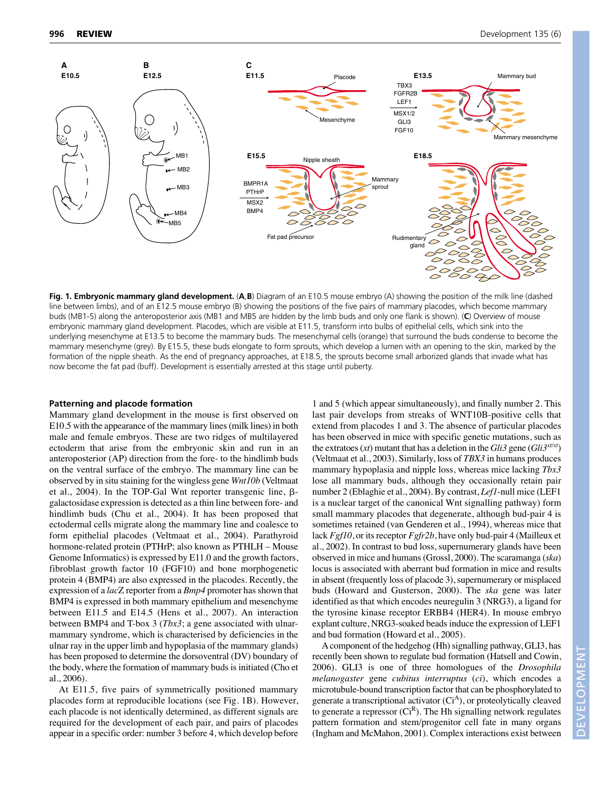

**Fig. 1. Embryonic mammary gland development.** (**A**,**B**) Diagram of an E10.5 mouse embryo (A) showing the position of the milk line (dashed line between limbs), and of an E12.5 mouse embryo (B) showing the positions of the five pairs of mammary placodes, which become mammary buds (MB1-5) along the anteroposterior axis (MB1 and MB5 are hidden by the limb buds and only one flank is shown). (**C**) Overview of mouse embryonic mammary gland development. Placodes, which are visible at E11.5, transform into bulbs of epithelial cells, which sink into the underlying mesenchyme at E13.5 to become the mammary buds. The mesenchymal cells (orange) that surround the buds condense to become the mammary mesenchyme (grey). By E15.5, these buds elongate to form sprouts, which develop a lumen with an opening to the skin, marked by the formation of the nipple sheath. As the end of pregnancy approaches, at E18.5, the sprouts become small arborized glands that invade what has now become the fat pad (buff). Development is essentially arrested at this stage until puberty.

#### **Patterning and placode formation**

Mammary gland development in the mouse is first observed on E10.5 with the appearance of the mammary lines (milk lines) in both male and female embryos. These are two ridges of multilayered ectoderm that arise from the embryonic skin and run in an anteroposterior (AP) direction from the fore- to the hindlimb buds on the ventral surface of the embryo. The mammary line can be observed by in situ staining for the wingless gene *Wnt10b* (Veltmaat et al., 2004). In the TOP-Gal Wnt reporter transgenic line,  $\beta$ galactosidase expression is detected as a thin line between fore- and hindlimb buds (Chu et al., 2004). It has been proposed that ectodermal cells migrate along the mammary line and coalesce to form epithelial placodes (Veltmaat et al., 2004). Parathyroid hormone-related protein (PTHrP; also known as PTHLH – Mouse Genome Informatics) is expressed by E11.0 and the growth factors, fibroblast growth factor 10 (FGF10) and bone morphogenetic protein 4 (BMP4) are also expressed in the placodes. Recently, the expression of a *lac*Z reporter from a *Bmp4* promoter has shown that BMP4 is expressed in both mammary epithelium and mesenchyme between E11.5 and E14.5 (Hens et al., 2007). An interaction between BMP4 and T-box 3 (*Tbx3*; a gene associated with ulnarmammary syndrome, which is characterised by deficiencies in the ulnar ray in the upper limb and hypoplasia of the mammary glands) has been proposed to determine the dorsoventral (DV) boundary of the body, where the formation of mammary buds is initiated (Cho et al., 2006).

At E11.5, five pairs of symmetrically positioned mammary placodes form at reproducible locations (see Fig. 1B). However, each placode is not identically determined, as different signals are required for the development of each pair, and pairs of placodes appear in a specific order: number 3 before 4, which develop before 1 and 5 (which appear simultaneously), and finally number 2. This last pair develops from streaks of WNT10B-positive cells that extend from placodes 1 and 3. The absence of particular placodes has been observed in mice with specific genetic mutations, such as the extratoes (*xt*) mutant that has a deletion in the *Gli3* gene (*Gli3xt/xt*) (Veltmaat et al., 2003). Similarly, loss of *TBX3* in humans produces mammary hypoplasia and nipple loss, whereas mice lacking *Tbx3* lose all mammary buds, although they occasionally retain pair number 2 (Eblaghie et al., 2004). By contrast, *Lef1*-null mice (LEF1 is a nuclear target of the canonical Wnt signalling pathway) form small mammary placodes that degenerate, although bud-pair 4 is sometimes retained (van Genderen et al., 1994), whereas mice that lack *Fgf10*, or its receptor *Fgfr2b*, have only bud-pair 4 (Mailleux et al., 2002). In contrast to bud loss, supernumerary glands have been observed in mice and humans (Grossl, 2000). The scaramanga (*ska*) locus is associated with aberrant bud formation in mice and results in absent (frequently loss of placode 3), supernumerary or misplaced buds (Howard and Gusterson, 2000). The *ska* gene was later identified as that which encodes neuregulin 3 (NRG3), a ligand for the tyrosine kinase receptor ERBB4 (HER4). In mouse embryo explant culture, NRG3-soaked beads induce the expression of LEF1 and bud formation (Howard et al., 2005).

A component of the hedgehog (Hh) signalling pathway, GLI3, has recently been shown to regulate bud formation (Hatsell and Cowin, 2006). GLI3 is one of three homologues of the *Drosophila melanogaster* gene *cubitus interruptus* (*ci*), which encodes a microtubule-bound transcription factor that can be phosphorylated to generate a transcriptional activator  $(Ci^A)$ , or proteolytically cleaved to generate a repressor  $(Ci^R)$ . The Hh signalling network regulates pattern formation and stem/progenitor cell fate in many organs (Ingham and McMahon, 2001). Complex interactions exist between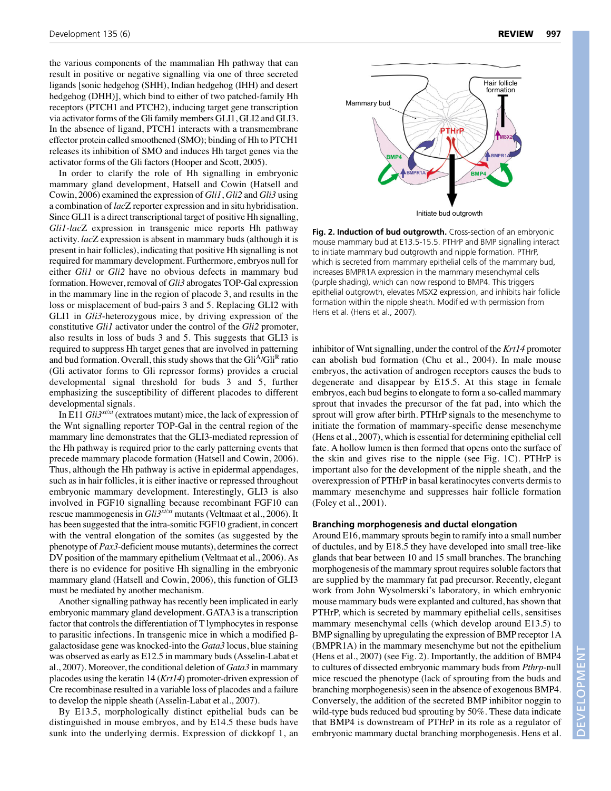the various components of the mammalian Hh pathway that can result in positive or negative signalling via one of three secreted ligands [sonic hedgehog (SHH), Indian hedgehog (IHH) and desert hedgehog (DHH)], which bind to either of two patched-family Hh receptors (PTCH1 and PTCH2), inducing target gene transcription via activator forms of the Gli family members GLI1, GLI2 and GLI3. In the absence of ligand, PTCH1 interacts with a transmembrane effector protein called smoothened (SMO); binding of Hh to PTCH1 releases its inhibition of SMO and induces Hh target genes via the activator forms of the Gli factors (Hooper and Scott, 2005).

In order to clarify the role of Hh signalling in embryonic mammary gland development, Hatsell and Cowin (Hatsell and Cowin, 2006) examined the expression of *Gli1*, *Gli2* and *Gli3* using a combination of *lac*Z reporter expression and in situ hybridisation. Since GLI1 is a direct transcriptional target of positive Hh signalling, *Gli1-lac*Z expression in transgenic mice reports Hh pathway activity. *lac*Z expression is absent in mammary buds (although it is present in hair follicles), indicating that positive Hh signalling is not required for mammary development. Furthermore, embryos null for either *Gli1* or *Gli2* have no obvious defects in mammary bud formation. However, removal of *Gli3* abrogates TOP-Gal expression in the mammary line in the region of placode 3, and results in the loss or misplacement of bud-pairs 3 and 5. Replacing GLI2 with GLI1 in *Gli3*-heterozygous mice, by driving expression of the constitutive *Gli1* activator under the control of the *Gli2* promoter, also results in loss of buds 3 and 5. This suggests that GLI3 is required to suppress Hh target genes that are involved in patterning and bud formation. Overall, this study shows that the  $\text{Gli}^{\text{A}}/\text{Gli}^{\text{R}}$  ratio (Gli activator forms to Gli repressor forms) provides a crucial developmental signal threshold for buds 3 and 5, further emphasizing the susceptibility of different placodes to different developmental signals.

In E11 *Gli3xt/xt* (extratoes mutant) mice, the lack of expression of the Wnt signalling reporter TOP-Gal in the central region of the mammary line demonstrates that the GLI3-mediated repression of the Hh pathway is required prior to the early patterning events that precede mammary placode formation (Hatsell and Cowin, 2006). Thus, although the Hh pathway is active in epidermal appendages, such as in hair follicles, it is either inactive or repressed throughout embryonic mammary development. Interestingly, GLI3 is also involved in FGF10 signalling because recombinant FGF10 can rescue mammogenesis in *Gli3xt/xt* mutants (Veltmaat et al., 2006). It has been suggested that the intra-somitic FGF10 gradient, in concert with the ventral elongation of the somites (as suggested by the phenotype of *Pax3-*deficient mouse mutants), determines the correct DV position of the mammary epithelium (Veltmaat et al., 2006). As there is no evidence for positive Hh signalling in the embryonic mammary gland (Hatsell and Cowin, 2006), this function of GLI3 must be mediated by another mechanism.

Another signalling pathway has recently been implicated in early embryonic mammary gland development. GATA3 is a transcription factor that controls the differentiation of T lymphocytes in response to parasitic infections. In transgenic mice in which a modified  $\beta$ galactosidase gene was knocked-into the *Gata3* locus, blue staining was observed as early as E12.5 in mammary buds (Asselin-Labat et al., 2007). Moreover, the conditional deletion of *Gata3* in mammary placodes using the keratin 14 (*Krt14*) promoter-driven expression of Cre recombinase resulted in a variable loss of placodes and a failure to develop the nipple sheath (Asselin-Labat et al., 2007).

By E13.5, morphologically distinct epithelial buds can be distinguished in mouse embryos, and by E14.5 these buds have sunk into the underlying dermis. Expression of dickkopf 1, an



**Fig. 2. Induction of bud outgrowth.** Cross-section of an embryonic mouse mammary bud at E13.5-15.5. PTHrP and BMP signalling interact to initiate mammary bud outgrowth and nipple formation. PTHrP, which is secreted from mammary epithelial cells of the mammary bud, increases BMPR1A expression in the mammary mesenchymal cells (purple shading), which can now respond to BMP4. This triggers epithelial outgrowth, elevates MSX2 expression, and inhibits hair follicle formation within the nipple sheath. Modified with permission from Hens et al. (Hens et al., 2007).

inhibitor of Wnt signalling, under the control of the *Krt14* promoter can abolish bud formation (Chu et al., 2004). In male mouse embryos, the activation of androgen receptors causes the buds to degenerate and disappear by E15.5. At this stage in female embryos, each bud begins to elongate to form a so-called mammary sprout that invades the precursor of the fat pad, into which the sprout will grow after birth. PTHrP signals to the mesenchyme to initiate the formation of mammary-specific dense mesenchyme (Hens et al., 2007), which is essential for determining epithelial cell fate. A hollow lumen is then formed that opens onto the surface of the skin and gives rise to the nipple (see Fig. 1C). PTHrP is important also for the development of the nipple sheath, and the overexpression of PTHrP in basal keratinocytes converts dermis to mammary mesenchyme and suppresses hair follicle formation (Foley et al., 2001).

## **Branching morphogenesis and ductal elongation**

Around E16, mammary sprouts begin to ramify into a small number of ductules, and by E18.5 they have developed into small tree-like glands that bear between 10 and 15 small branches. The branching morphogenesis of the mammary sprout requires soluble factors that are supplied by the mammary fat pad precursor. Recently, elegant work from John Wysolmerski's laboratory, in which embryonic mouse mammary buds were explanted and cultured, has shown that PTHrP, which is secreted by mammary epithelial cells, sensitises mammary mesenchymal cells (which develop around E13.5) to BMP signalling by upregulating the expression of BMP receptor 1A (BMPR1A) in the mammary mesenchyme but not the epithelium (Hens et al., 2007) (see Fig. 2). Importantly, the addition of BMP4 to cultures of dissected embryonic mammary buds from *Pthrp*-null mice rescued the phenotype (lack of sprouting from the buds and branching morphogenesis) seen in the absence of exogenous BMP4. Conversely, the addition of the secreted BMP inhibitor noggin to wild-type buds reduced bud sprouting by 50%. These data indicate that BMP4 is downstream of PTHrP in its role as a regulator of embryonic mammary ductal branching morphogenesis. Hens et al.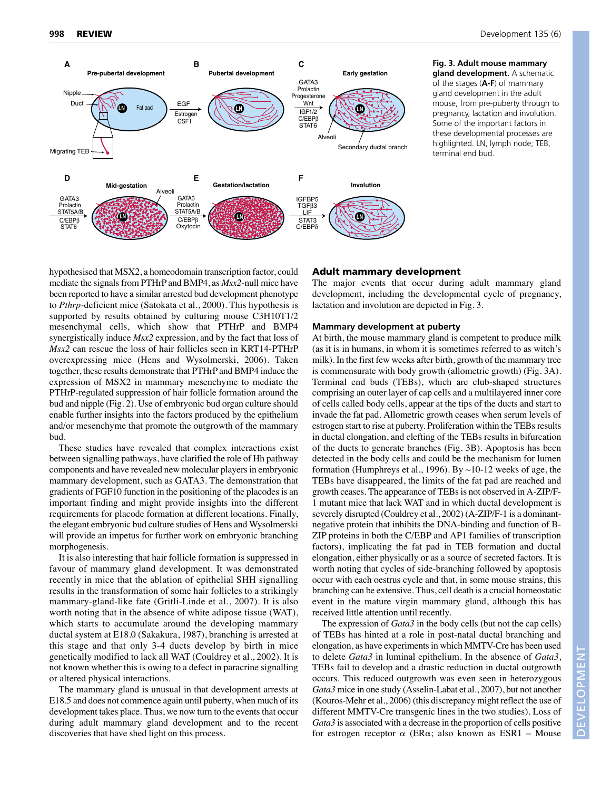

**Fig. 3. Adult mouse mammary gland development.** A schematic of the stages (**A-F**) of mammary gland development in the adult mouse, from pre-puberty through to pregnancy, lactation and involution. Some of the important factors in these developmental processes are highlighted. LN, lymph node; TEB, terminal end bud.

hypothesised that MSX2, a homeodomain transcription factor, could mediate the signals from PTHrP and BMP4, as *Msx2*-null mice have been reported to have a similar arrested bud development phenotype to *Pthrp-*deficient mice (Satokata et al., 2000). This hypothesis is supported by results obtained by culturing mouse C3H10T1/2 mesenchymal cells, which show that PTHrP and BMP4 synergistically induce *Msx2* expression, and by the fact that loss of *Msx2* can rescue the loss of hair follicles seen in KRT14-PTHrP overexpressing mice (Hens and Wysolmerski, 2006). Taken together, these results demonstrate that PTHrP and BMP4 induce the expression of MSX2 in mammary mesenchyme to mediate the PTHrP-regulated suppression of hair follicle formation around the bud and nipple (Fig. 2). Use of embryonic bud organ culture should enable further insights into the factors produced by the epithelium and/or mesenchyme that promote the outgrowth of the mammary bud.

These studies have revealed that complex interactions exist between signalling pathways, have clarified the role of Hh pathway components and have revealed new molecular players in embryonic mammary development, such as GATA3. The demonstration that gradients of FGF10 function in the positioning of the placodes is an important finding and might provide insights into the different requirements for placode formation at different locations. Finally, the elegant embryonic bud culture studies of Hens and Wysolmerski will provide an impetus for further work on embryonic branching morphogenesis.

It is also interesting that hair follicle formation is suppressed in favour of mammary gland development. It was demonstrated recently in mice that the ablation of epithelial SHH signalling results in the transformation of some hair follicles to a strikingly mammary-gland-like fate (Gritli-Linde et al., 2007). It is also worth noting that in the absence of white adipose tissue (WAT), which starts to accumulate around the developing mammary ductal system at E18.0 (Sakakura, 1987), branching is arrested at this stage and that only 3-4 ducts develop by birth in mice genetically modified to lack all WAT (Couldrey et al., 2002). It is not known whether this is owing to a defect in paracrine signalling or altered physical interactions.

The mammary gland is unusual in that development arrests at E18.5 and does not commence again until puberty, when much of its development takes place. Thus, we now turn to the events that occur during adult mammary gland development and to the recent discoveries that have shed light on this process.

## **Adult mammary development**

The major events that occur during adult mammary gland development, including the developmental cycle of pregnancy, lactation and involution are depicted in Fig. 3.

#### **Mammary development at puberty**

At birth, the mouse mammary gland is competent to produce milk (as it is in humans, in whom it is sometimes referred to as witch's milk). In the first few weeks after birth, growth of the mammary tree is commensurate with body growth (allometric growth) (Fig. 3A). Terminal end buds (TEBs), which are club-shaped structures comprising an outer layer of cap cells and a multilayered inner core of cells called body cells, appear at the tips of the ducts and start to invade the fat pad. Allometric growth ceases when serum levels of estrogen start to rise at puberty. Proliferation within the TEBs results in ductal elongation, and clefting of the TEBs results in bifurcation of the ducts to generate branches (Fig. 3B). Apoptosis has been detected in the body cells and could be the mechanism for lumen formation (Humphreys et al., 1996). By ~10-12 weeks of age, the TEBs have disappeared, the limits of the fat pad are reached and growth ceases. The appearance of TEBs is not observed in A-ZIP/F-1 mutant mice that lack WAT and in which ductal development is severely disrupted (Couldrey et al., 2002) (A-ZIP/F-1 is a dominantnegative protein that inhibits the DNA-binding and function of B-ZIP proteins in both the C/EBP and AP1 families of transcription factors), implicating the fat pad in TEB formation and ductal elongation, either physically or as a source of secreted factors. It is worth noting that cycles of side-branching followed by apoptosis occur with each oestrus cycle and that, in some mouse strains, this branching can be extensive. Thus, cell death is a crucial homeostatic event in the mature virgin mammary gland, although this has received little attention until recently.

The expression of *Gata3* in the body cells (but not the cap cells) of TEBs has hinted at a role in post-natal ductal branching and elongation, as have experiments in which MMTV-Cre has been used to delete *Gata3* in luminal epithelium. In the absence of *Gata3*, TEBs fail to develop and a drastic reduction in ductal outgrowth occurs. This reduced outgrowth was even seen in heterozygous *Gata3* mice in one study (Asselin-Labat et al., 2007), but not another (Kouros-Mehr et al., 2006) (this discrepancy might reflect the use of different MMTV-Cre transgenic lines in the two studies). Loss of *Gata3* is associated with a decrease in the proportion of cells positive for estrogen receptor  $\alpha$  (ER $\alpha$ ; also known as ESR1 – Mouse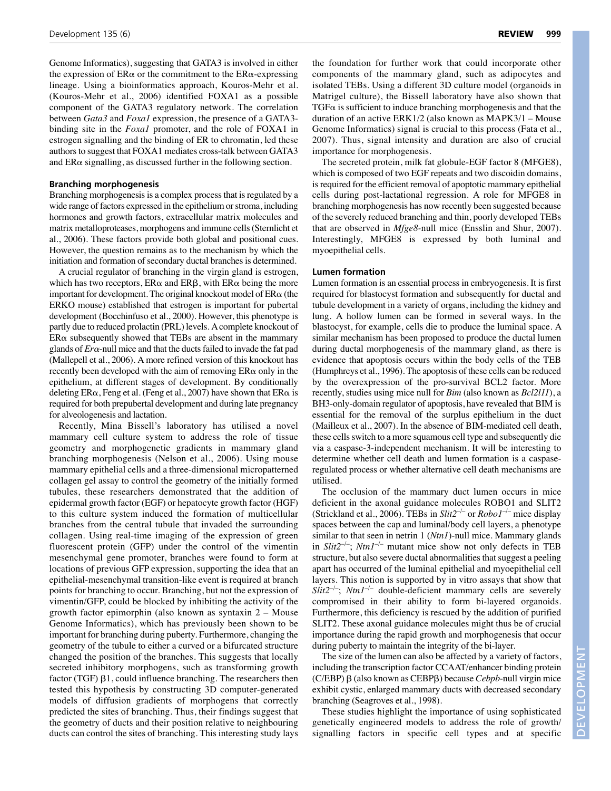Genome Informatics), suggesting that GATA3 is involved in either the expression of  $ER\alpha$  or the commitment to the  $ER\alpha$ -expressing lineage. Using a bioinformatics approach, Kouros-Mehr et al. (Kouros-Mehr et al., 2006) identified FOXA1 as a possible component of the GATA3 regulatory network. The correlation between *Gata3* and *Foxa1* expression, the presence of a GATA3 binding site in the *Foxa1* promoter, and the role of FOXA1 in estrogen signalling and the binding of ER to chromatin, led these authors to suggest that FOXA1 mediates cross-talk between GATA3 and  $ER\alpha$  signalling, as discussed further in the following section.

## **Branching morphogenesis**

Branching morphogenesis is a complex process that is regulated by a wide range of factors expressed in the epithelium or stroma, including hormones and growth factors, extracellular matrix molecules and matrix metalloproteases, morphogens and immune cells (Sternlicht et al., 2006). These factors provide both global and positional cues. However, the question remains as to the mechanism by which the initiation and formation of secondary ductal branches is determined.

A crucial regulator of branching in the virgin gland is estrogen, which has two receptors,  $ER\alpha$  and  $ER\beta$ , with  $ER\alpha$  being the more important for development. The original knockout model of  $ER\alpha$  (the ERKO mouse) established that estrogen is important for pubertal development (Bocchinfuso et al., 2000). However, this phenotype is partly due to reduced prolactin (PRL) levels. A complete knockout of  $ER\alpha$  subsequently showed that TEBs are absent in the mammary glands of  $Er\alpha$ -null mice and that the ducts failed to invade the fat pad (Mallepell et al., 2006). A more refined version of this knockout has recently been developed with the aim of removing  $ER\alpha$  only in the epithelium, at different stages of development. By conditionally deleting ER $\alpha$ , Feng et al. (Feng et al., 2007) have shown that ER $\alpha$  is required for both prepubertal development and during late pregnancy for alveologenesis and lactation.

Recently, Mina Bissell's laboratory has utilised a novel mammary cell culture system to address the role of tissue geometry and morphogenetic gradients in mammary gland branching morphogenesis (Nelson et al., 2006). Using mouse mammary epithelial cells and a three-dimensional micropatterned collagen gel assay to control the geometry of the initially formed tubules, these researchers demonstrated that the addition of epidermal growth factor (EGF) or hepatocyte growth factor (HGF) to this culture system induced the formation of multicellular branches from the central tubule that invaded the surrounding collagen. Using real-time imaging of the expression of green fluorescent protein (GFP) under the control of the vimentin mesenchymal gene promoter, branches were found to form at locations of previous GFP expression, supporting the idea that an epithelial-mesenchymal transition-like event is required at branch points for branching to occur. Branching, but not the expression of vimentin/GFP, could be blocked by inhibiting the activity of the growth factor epimorphin (also known as syntaxin 2 – Mouse Genome Informatics), which has previously been shown to be important for branching during puberty. Furthermore, changing the geometry of the tubule to either a curved or a bifurcated structure changed the position of the branches. This suggests that locally secreted inhibitory morphogens, such as transforming growth factor (TGF)  $\beta$ 1, could influence branching. The researchers then tested this hypothesis by constructing 3D computer-generated models of diffusion gradients of morphogens that correctly predicted the sites of branching. Thus, their findings suggest that the geometry of ducts and their position relative to neighbouring ducts can control the sites of branching. This interesting study lays the foundation for further work that could incorporate other components of the mammary gland, such as adipocytes and isolated TEBs. Using a different 3D culture model (organoids in Matrigel culture), the Bissell laboratory have also shown that  $TGF\alpha$  is sufficient to induce branching morphogenesis and that the duration of an active ERK1/2 (also known as MAPK3/1 – Mouse Genome Informatics) signal is crucial to this process (Fata et al., 2007). Thus, signal intensity and duration are also of crucial importance for morphogenesis.

The secreted protein, milk fat globule-EGF factor 8 (MFGE8), which is composed of two EGF repeats and two discoidin domains, is required for the efficient removal of apoptotic mammary epithelial cells during post-lactational regression. A role for MFGE8 in branching morphogenesis has now recently been suggested because of the severely reduced branching and thin, poorly developed TEBs that are observed in *Mfge8-*null mice (Ensslin and Shur, 2007). Interestingly, MFGE8 is expressed by both luminal and myoepithelial cells.

### **Lumen formation**

Lumen formation is an essential process in embryogenesis. It is first required for blastocyst formation and subsequently for ductal and tubule development in a variety of organs, including the kidney and lung. A hollow lumen can be formed in several ways. In the blastocyst, for example, cells die to produce the luminal space. A similar mechanism has been proposed to produce the ductal lumen during ductal morphogenesis of the mammary gland, as there is evidence that apoptosis occurs within the body cells of the TEB (Humphreys et al., 1996). The apoptosis of these cells can be reduced by the overexpression of the pro-survival BCL2 factor. More recently, studies using mice null for *Bim* (also known as *Bcl2l11*), a BH3-only-domain regulator of apoptosis, have revealed that BIM is essential for the removal of the surplus epithelium in the duct (Mailleux et al., 2007). In the absence of BIM-mediated cell death, these cells switch to a more squamous cell type and subsequently die via a caspase-3-independent mechanism. It will be interesting to determine whether cell death and lumen formation is a caspaseregulated process or whether alternative cell death mechanisms are utilised.

The occlusion of the mammary duct lumen occurs in mice deficient in the axonal guidance molecules ROBO1 and SLIT2 (Strickland et al., 2006). TEBs in  $Slit2^{-/-}$  or  $Robol^{-/-}$  mice display spaces between the cap and luminal/body cell layers, a phenotype similar to that seen in netrin 1 (*Ntn1*)-null mice. Mammary glands in  $Sli2^{-/-}$ ; *Ntn1<sup>-/-</sup>* mutant mice show not only defects in TEB structure, but also severe ductal abnormalities that suggest a peeling apart has occurred of the luminal epithelial and myoepithelial cell layers. This notion is supported by in vitro assays that show that  $Sli\tau2^{-/-}$ ; *Ntn1<sup>-/-</sup>* double-deficient mammary cells are severely compromised in their ability to form bi-layered organoids. Furthermore, this deficiency is rescued by the addition of purified SLIT2. These axonal guidance molecules might thus be of crucial importance during the rapid growth and morphogenesis that occur during puberty to maintain the integrity of the bi-layer.

The size of the lumen can also be affected by a variety of factors, including the transcription factor CCAAT/enhancer binding protein  $(C/EBP)$   $\beta$  (also known as CEBP $\beta$ ) because *Cebpb*-null virgin mice exhibit cystic, enlarged mammary ducts with decreased secondary branching (Seagroves et al., 1998).

These studies highlight the importance of using sophisticated genetically engineered models to address the role of growth/ signalling factors in specific cell types and at specific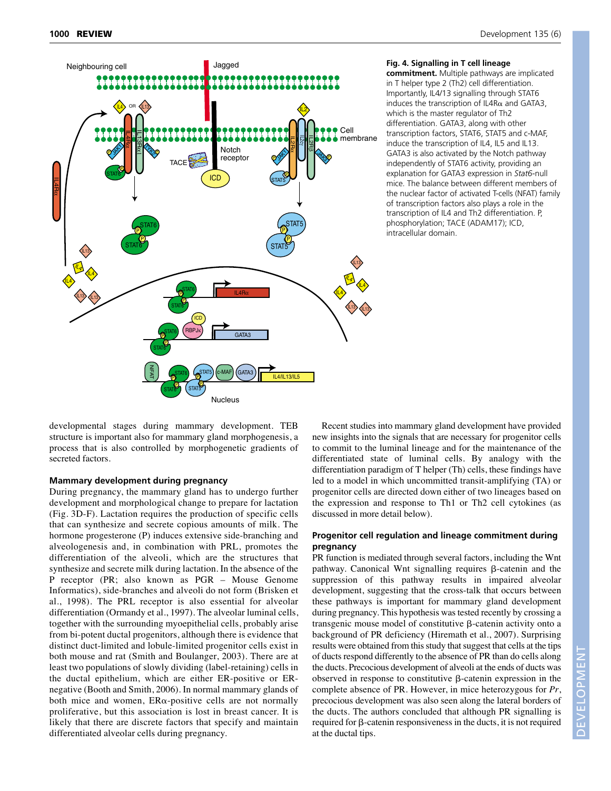

#### **Fig. 4. Signalling in T cell lineage**

**commitment.** Multiple pathways are implicated in T helper type 2 (Th2) cell differentiation. Importantly, IL4/13 signalling through STAT6 induces the transcription of IL4R $\alpha$  and GATA3, which is the master regulator of Th2 differentiation. GATA3, along with other transcription factors, STAT6, STAT5 and c-MAF, induce the transcription of IL4, IL5 and IL13. GATA3 is also activated by the Notch pathway independently of STAT6 activity, providing an explanation for GATA3 expression in *Stat6*-null mice. The balance between different members of the nuclear factor of activated T-cells (NFAT) family of transcription factors also plays a role in the transcription of IL4 and Th2 differentiation. P, phosphorylation; TACE (ADAM17); ICD, intracellular domain.

developmental stages during mammary development. TEB structure is important also for mammary gland morphogenesis, a process that is also controlled by morphogenetic gradients of secreted factors.

## **Mammary development during pregnancy**

During pregnancy, the mammary gland has to undergo further development and morphological change to prepare for lactation (Fig. 3D-F). Lactation requires the production of specific cells that can synthesize and secrete copious amounts of milk. The hormone progesterone (P) induces extensive side-branching and alveologenesis and, in combination with PRL, promotes the differentiation of the alveoli, which are the structures that synthesize and secrete milk during lactation. In the absence of the P receptor (PR; also known as PGR – Mouse Genome Informatics), side-branches and alveoli do not form (Brisken et al., 1998). The PRL receptor is also essential for alveolar differentiation (Ormandy et al., 1997). The alveolar luminal cells, together with the surrounding myoepithelial cells, probably arise from bi-potent ductal progenitors, although there is evidence that distinct duct-limited and lobule-limited progenitor cells exist in both mouse and rat (Smith and Boulanger, 2003). There are at least two populations of slowly dividing (label-retaining) cells in the ductal epithelium, which are either ER-positive or ERnegative (Booth and Smith, 2006). In normal mammary glands of both mice and women,  $ER\alpha$ -positive cells are not normally proliferative, but this association is lost in breast cancer. It is likely that there are discrete factors that specify and maintain differentiated alveolar cells during pregnancy.

Recent studies into mammary gland development have provided new insights into the signals that are necessary for progenitor cells to commit to the luminal lineage and for the maintenance of the differentiated state of luminal cells. By analogy with the differentiation paradigm of T helper (Th) cells, these findings have led to a model in which uncommitted transit-amplifying (TA) or progenitor cells are directed down either of two lineages based on the expression and response to Th1 or Th2 cell cytokines (as discussed in more detail below).

# **Progenitor cell regulation and lineage commitment during pregnancy**

PR function is mediated through several factors, including the Wnt pathway. Canonical Wnt signalling requires  $\beta$ -catenin and the suppression of this pathway results in impaired alveolar development, suggesting that the cross-talk that occurs between these pathways is important for mammary gland development during pregnancy. This hypothesis was tested recently by crossing a transgenic mouse model of constitutive  $\beta$ -catenin activity onto a background of PR deficiency (Hiremath et al., 2007). Surprising results were obtained from this study that suggest that cells at the tips of ducts respond differently to the absence of PR than do cells along the ducts. Precocious development of alveoli at the ends of ducts was observed in response to constitutive  $\beta$ -catenin expression in the complete absence of PR. However, in mice heterozygous for *Pr*, precocious development was also seen along the lateral borders of the ducts. The authors concluded that although PR signalling is required for  $\beta$ -catenin responsiveness in the ducts, it is not required at the ductal tips.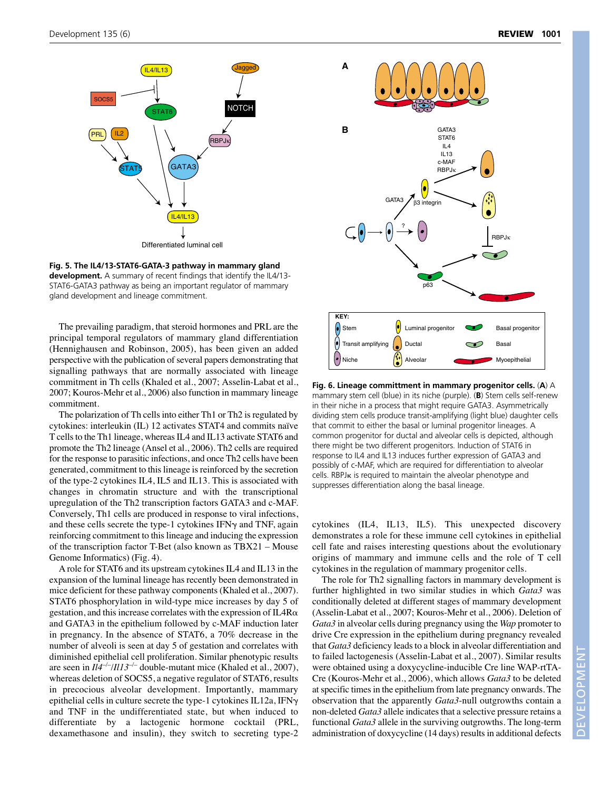



The prevailing paradigm, that steroid hormones and PRL are the principal temporal regulators of mammary gland differentiation (Hennighausen and Robinson, 2005), has been given an added perspective with the publication of several papers demonstrating that signalling pathways that are normally associated with lineage commitment in Th cells (Khaled et al., 2007; Asselin-Labat et al., 2007; Kouros-Mehr et al., 2006) also function in mammary lineage commitment.

The polarization of Th cells into either Th1 or Th2 is regulated by cytokines: interleukin (IL) 12 activates STAT4 and commits naïve T cells to the Th1 lineage, whereas IL4 and IL13 activate STAT6 and promote the Th2 lineage (Ansel et al., 2006). Th2 cells are required for the response to parasitic infections, and once Th2 cells have been generated, commitment to this lineage is reinforced by the secretion of the type-2 cytokines IL4, IL5 and IL13. This is associated with changes in chromatin structure and with the transcriptional upregulation of the Th2 transcription factors GATA3 and c-MAF. Conversely, Th1 cells are produced in response to viral infections, and these cells secrete the type-1 cytokines  $IFN<sub>Y</sub>$  and TNF, again reinforcing commitment to this lineage and inducing the expression of the transcription factor T-Bet (also known as TBX21 – Mouse Genome Informatics) (Fig. 4).

A role for STAT6 and its upstream cytokines IL4 and IL13 in the expansion of the luminal lineage has recently been demonstrated in mice deficient for these pathway components (Khaled et al., 2007). STAT6 phosphorylation in wild-type mice increases by day 5 of gestation, and this increase correlates with the expression of IL4R $\alpha$ and GATA3 in the epithelium followed by c-MAF induction later in pregnancy. In the absence of STAT6, a 70% decrease in the number of alveoli is seen at day 5 of gestation and correlates with diminished epithelial cell proliferation. Similar phenotypic results are seen in *Il4–/–*/*Il13–/–* double-mutant mice (Khaled et al., 2007), whereas deletion of SOCS5, a negative regulator of STAT6, results in precocious alveolar development. Importantly, mammary epithelial cells in culture secrete the type-1 cytokines  $IL12a$ , IFN $\gamma$ and TNF in the undifferentiated state, but when induced to differentiate by a lactogenic hormone cocktail (PRL, dexamethasone and insulin), they switch to secreting type-2



**Fig. 6. Lineage committment in mammary progenitor cells.** (**A**) A mammary stem cell (blue) in its niche (purple). (**B**) Stem cells self-renew in their niche in a process that might require GATA3. Asymmetrically dividing stem cells produce transit-amplifying (light blue) daughter cells that commit to either the basal or luminal progenitor lineages. A common progenitor for ductal and alveolar cells is depicted, although there might be two different progenitors. Induction of STAT6 in response to IL4 and IL13 induces further expression of GATA3 and possibly of c-MAF, which are required for differentiation to alveolar  $cells. RBPJK$  is required to maintain the alveolar phenotype and suppresses differentiation along the basal lineage.

cytokines (IL4, IL13, IL5). This unexpected discovery demonstrates a role for these immune cell cytokines in epithelial cell fate and raises interesting questions about the evolutionary origins of mammary and immune cells and the role of T cell cytokines in the regulation of mammary progenitor cells.

The role for Th2 signalling factors in mammary development is further highlighted in two similar studies in which *Gata3* was conditionally deleted at different stages of mammary development (Asselin-Labat et al., 2007; Kouros-Mehr et al., 2006). Deletion of *Gata3* in alveolar cells during pregnancy using the *Wap* promoter to drive Cre expression in the epithelium during pregnancy revealed that *Gata3* deficiency leads to a block in alveolar differentiation and to failed lactogenesis (Asselin-Labat et al., 2007). Similar results were obtained using a doxycycline-inducible Cre line WAP-rtTA-Cre (Kouros-Mehr et al., 2006), which allows *Gata3* to be deleted at specific times in the epithelium from late pregnancy onwards. The observation that the apparently *Gata3*-null outgrowths contain a non-deleted *Gata3* allele indicates that a selective pressure retains a functional *Gata3* allele in the surviving outgrowths. The long-term administration of doxycycline (14 days) results in additional defects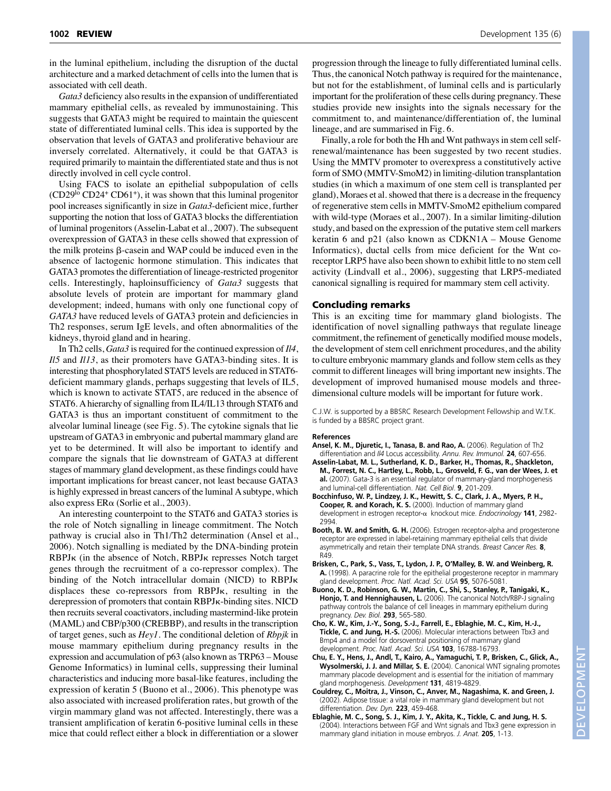in the luminal epithelium, including the disruption of the ductal architecture and a marked detachment of cells into the lumen that is associated with cell death.

*Gata3* deficiency also results in the expansion of undifferentiated mammary epithelial cells, as revealed by immunostaining. This suggests that GATA3 might be required to maintain the quiescent state of differentiated luminal cells. This idea is supported by the observation that levels of GATA3 and proliferative behaviour are inversely correlated. Alternatively, it could be that GATA3 is required primarily to maintain the differentiated state and thus is not directly involved in cell cycle control.

Using FACS to isolate an epithelial subpopulation of cells  $(CD29<sup>lo</sup> CD24<sup>+</sup> CD61<sup>+</sup>)$ , it was shown that this luminal progenitor pool increases significantly in size in *Gata3*-deficient mice, further supporting the notion that loss of GATA3 blocks the differentiation of luminal progenitors (Asselin-Labat et al., 2007). The subsequent overexpression of GATA3 in these cells showed that expression of the milk proteins  $\beta$ -casein and WAP could be induced even in the absence of lactogenic hormone stimulation. This indicates that GATA3 promotes the differentiation of lineage-restricted progenitor cells. Interestingly, haploinsufficiency of *Gata3* suggests that absolute levels of protein are important for mammary gland development; indeed, humans with only one functional copy of *GATA3* have reduced levels of GATA3 protein and deficiencies in Th2 responses, serum IgE levels, and often abnormalities of the kidneys, thyroid gland and in hearing.

In Th2 cells, *Gata3* is required for the continued expression of *Il4*, *Il5* and *Il13*, as their promoters have GATA3-binding sites. It is interesting that phosphorylated STAT5 levels are reduced in STAT6 deficient mammary glands, perhaps suggesting that levels of IL5, which is known to activate STAT5, are reduced in the absence of STAT6. A hierarchy of signalling from IL4/IL13 through STAT6 and GATA3 is thus an important constituent of commitment to the alveolar luminal lineage (see Fig. 5). The cytokine signals that lie upstream of GATA3 in embryonic and pubertal mammary gland are yet to be determined. It will also be important to identify and compare the signals that lie downstream of GATA3 at different stages of mammary gland development, as these findings could have important implications for breast cancer, not least because GATA3 is highly expressed in breast cancers of the luminal A subtype, which also express  $ER\alpha$  (Sorlie et al., 2003).

An interesting counterpoint to the STAT6 and GATA3 stories is the role of Notch signalling in lineage commitment. The Notch pathway is crucial also in Th1/Th2 determination (Ansel et al., 2006). Notch signalling is mediated by the DNA-binding protein RBPJ<sub>K</sub> (in the absence of Notch, RBPJ<sub>K</sub> represses Notch target genes through the recruitment of a co-repressor complex). The binding of the Notch intracellular domain (NICD) to RBPJ displaces these co-repressors from RBPJ<sub>K</sub>, resulting in the derepression of promoters that contain RBPJ<sub>K</sub>-binding sites. NICD then recruits several coactivators, including mastermind-like protein (MAML) and CBP/p300 (CREBBP), and results in the transcription of target genes, such as *Hey1*. The conditional deletion of *Rbpjk* in mouse mammary epithelium during pregnancy results in the expression and accumulation of p63 (also known as TRP63 – Mouse Genome Informatics) in luminal cells, suppressing their luminal characteristics and inducing more basal-like features, including the expression of keratin 5 (Buono et al., 2006). This phenotype was also associated with increased proliferation rates, but growth of the virgin mammary gland was not affected. Interestingly, there was a transient amplification of keratin 6-positive luminal cells in these mice that could reflect either a block in differentiation or a slower

progression through the lineage to fully differentiated luminal cells. Thus, the canonical Notch pathway is required for the maintenance, but not for the establishment, of luminal cells and is particularly important for the proliferation of these cells during pregnancy. These studies provide new insights into the signals necessary for the commitment to, and maintenance/differentiation of, the luminal lineage, and are summarised in Fig. 6.

Finally, a role for both the Hh and Wnt pathways in stem cell selfrenewal/maintenance has been suggested by two recent studies. Using the MMTV promoter to overexpress a constitutively active form of SMO (MMTV-SmoM2) in limiting-dilution transplantation studies (in which a maximum of one stem cell is transplanted per gland), Moraes et al. showed that there is a decrease in the frequency of regenerative stem cells in MMTV-SmoM2 epithelium compared with wild-type (Moraes et al., 2007). In a similar limiting-dilution study, and based on the expression of the putative stem cell markers keratin 6 and p21 (also known as CDKN1A – Mouse Genome Informatics), ductal cells from mice deficient for the Wnt coreceptor LRP5 have also been shown to exhibit little to no stem cell activity (Lindvall et al., 2006), suggesting that LRP5-mediated canonical signalling is required for mammary stem cell activity.

### **Concluding remarks**

This is an exciting time for mammary gland biologists. The identification of novel signalling pathways that regulate lineage commitment, the refinement of genetically modified mouse models, the development of stem cell enrichment procedures, and the ability to culture embryonic mammary glands and follow stem cells as they commit to different lineages will bring important new insights. The development of improved humanised mouse models and threedimensional culture models will be important for future work.

C.J.W. is supported by a BBSRC Research Development Fellowship and W.T.K. is funded by a BBSRC project grant.

#### **References**

- **Ansel, K. M., Djuretic, I., Tanasa, B. and Rao, A.** (2006). Regulation of Th2 differentiation and *Il4* Locus accessibility. *Annu. Rev. Immunol.* **24**, 607-656.
- **Asselin-Labat, M. L., Sutherland, K. D., Barker, H., Thomas, R., Shackleton, M., Forrest, N. C., Hartley, L., Robb, L., Grosveld, F. G., van der Wees, J. et al.** (2007). Gata-3 is an essential regulator of mammary-gland morphogenesis and luminal-cell differentiation. *Nat. Cell Biol*. **9**, 201-209.
- **Bocchinfuso, W. P., Lindzey, J. K., Hewitt, S. C., Clark, J. A., Myers, P. H., Cooper, R. and Korach, K. S.** (2000). Induction of mammary gland development in estrogen receptor-α knockout mice. *Endocrinology* **141**, 2982-2994.
- **Booth, B. W. and Smith, G. H.** (2006). Estrogen receptor-alpha and progesterone receptor are expressed in label-retaining mammary epithelial cells that divide asymmetrically and retain their template DNA strands. *Breast Cancer Res.* **8**, R49.
- **Brisken, C., Park, S., Vass, T., Lydon, J. P., O'Malley, B. W. and Weinberg, R. A.** (1998). A paracrine role for the epithelial progesterone receptor in mammary gland development. *Proc. Natl. Acad. Sci. USA* **95**, 5076-5081.
- **Buono, K. D., Robinson, G. W., Martin, C., Shi, S., Stanley, P., Tanigaki, K., Honjo, T. and Hennighausen, L.** (2006). The canonical Notch/RBP-J signaling pathway controls the balance of cell lineages in mammary epithelium during pregnancy. *Dev. Biol.* **293**, 565-580.
- **Cho, K. W., Kim, J.-Y., Song, S.-J., Farrell, E., Eblaghie, M. C., Kim, H.-J., Tickle, C. and Jung, H.-S.** (2006). Molecular interactions between Tbx3 and Bmp4 and a model for dorsoventral positioning of mammary gland development. *Proc. Natl. Acad. Sci. USA* **103**, 16788-16793.
- **Chu, E. Y., Hens, J., Andl, T., Kairo, A., Yamaguchi, T. P., Brisken, C., Glick, A., Wysolmerski, J. J. and Millar, S. E.** (2004). Canonical WNT signaling promotes mammary placode development and is essential for the initiation of mammary gland morphogenesis. *Development* **131**, 4819-4829.
- **Couldrey, C., Moitra, J., Vinson, C., Anver, M., Nagashima, K. and Green, J.** (2002). Adipose tissue: a vital role in mammary gland development but not differentiation. *Dev. Dyn.* **223**, 459-468.
- **Eblaghie, M. C., Song, S. J., Kim, J. Y., Akita, K., Tickle, C. and Jung, H. S.** (2004). Interactions between FGF and Wnt signals and Tbx3 gene expression in mammary gland initiation in mouse embryos. *J. Anat.* **205**, 1-13.